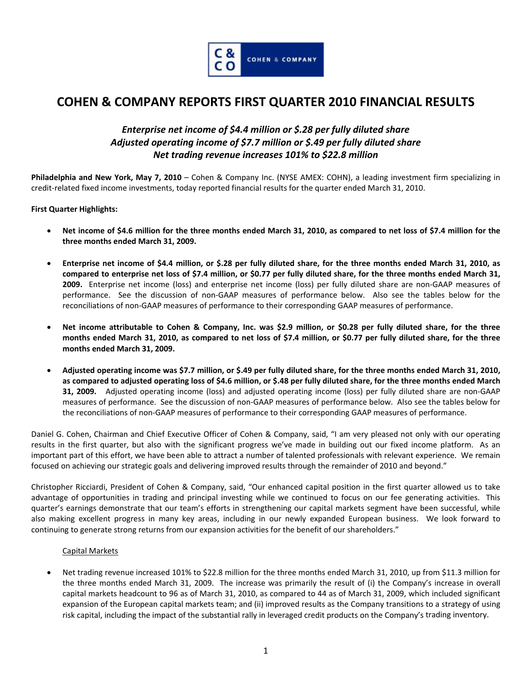

# **COHEN & COMPANY REPORTS FIRST QUARTER 2010 FINANCIAL RESULTS**

# *Enterprise net income of \$4.4 million or \$.28 per fully diluted share Adjusted operating income of \$7.7 million or \$.49 per fully diluted share Net trading revenue increases 101% to \$22.8 million*

**Philadelphia and New York, May 7, 2010** – Cohen & Company Inc. (NYSE AMEX: COHN), a leading investment firm specializing in credit‐related fixed income investments, today reported financial results for the quarter ended March 31, 2010.

**First Quarter Highlights:** 

- Net income of \$4.6 million for the three months ended March 31, 2010, as compared to net loss of \$7.4 million for the **three months ended March 31, 2009.**
- Enterprise net income of \$4.4 million, or \$.28 per fully diluted share, for the three months ended March 31, 2010, as compared to enterprise net loss of \$7.4 million, or \$0.77 per fully diluted share, for the three months ended March 31, **2009.** Enterprise net income (loss) and enterprise net income (loss) per fully diluted share are non‐GAAP measures of performance. See the discussion of non-GAAP measures of performance below. Also see the tables below for the reconciliations of non‐GAAP measures of performance to their corresponding GAAP measures of performance.
- Net income attributable to Cohen & Company, Inc. was \$2.9 million, or \$0.28 per fully diluted share, for the three months ended March 31, 2010, as compared to net loss of \$7.4 million, or \$0.77 per fully diluted share, for the three **months ended March 31, 2009.**
- Adjusted operating income was \$7.7 million, or \$.49 per fully diluted share, for the three months ended March 31, 2010, as compared to adjusted operating loss of \$4.6 million, or \$.48 per fully diluted share, for the three months ended March **31, 2009.** Adjusted operating income (loss) and adjusted operating income (loss) per fully diluted share are non‐GAAP measures of performance. See the discussion of non‐GAAP measures of performance below. Also see the tables below for the reconciliations of non‐GAAP measures of performance to their corresponding GAAP measures of performance.

Daniel G. Cohen, Chairman and Chief Executive Officer of Cohen & Company, said, "I am very pleased not only with our operating results in the first quarter, but also with the significant progress we've made in building out our fixed income platform. As an important part of this effort, we have been able to attract a number of talented professionals with relevant experience. We remain focused on achieving our strategic goals and delivering improved results through the remainder of 2010 and beyond."

Christopher Ricciardi, President of Cohen & Company, said, "Our enhanced capital position in the first quarter allowed us to take advantage of opportunities in trading and principal investing while we continued to focus on our fee generating activities. This quarter's earnings demonstrate that our team's efforts in strengthening our capital markets segment have been successful, while also making excellent progress in many key areas, including in our newly expanded European business. We look forward to continuing to generate strong returns from our expansion activities for the benefit of our shareholders."

# Capital Markets

• Net trading revenue increased 101% to \$22.8 million for the three months ended March 31, 2010, up from \$11.3 million for the three months ended March 31, 2009. The increase was primarily the result of (i) the Company's increase in overall capital markets headcount to 96 as of March 31, 2010, as compared to 44 as of March 31, 2009, which included significant expansion of the European capital markets team; and (ii) improved results as the Company transitions to a strategy of using risk capital, including the impact of the substantial rally in leveraged credit products on the Company's trading inventory.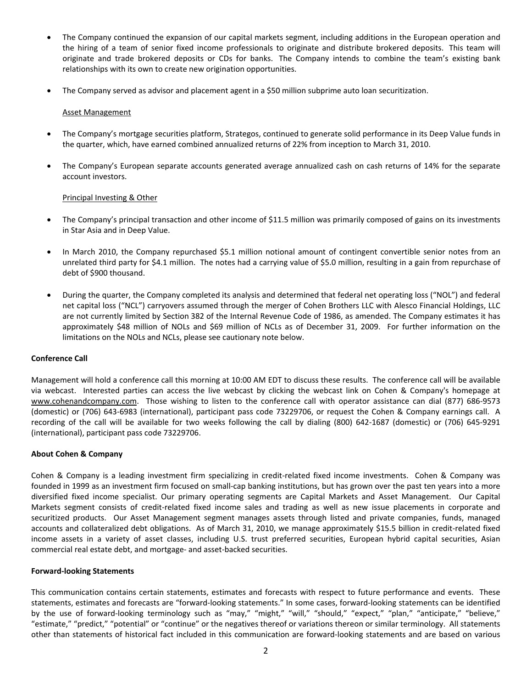- The Company continued the expansion of our capital markets segment, including additions in the European operation and the hiring of a team of senior fixed income professionals to originate and distribute brokered deposits. This team will originate and trade brokered deposits or CDs for banks. The Company intends to combine the team's existing bank relationships with its own to create new origination opportunities.
- The Company served as advisor and placement agent in a \$50 million subprime auto loan securitization.

#### Asset Management

- The Company's mortgage securities platform, Strategos, continued to generate solid performance in its Deep Value funds in the quarter, which, have earned combined annualized returns of 22% from inception to March 31, 2010.
- The Company's European separate accounts generated average annualized cash on cash returns of 14% for the separate account investors.

## Principal Investing & Other

- The Company's principal transaction and other income of \$11.5 million was primarily composed of gains on its investments in Star Asia and in Deep Value.
- In March 2010, the Company repurchased \$5.1 million notional amount of contingent convertible senior notes from an unrelated third party for \$4.1 million. The notes had a carrying value of \$5.0 million, resulting in a gain from repurchase of debt of \$900 thousand.
- During the quarter, the Company completed its analysis and determined that federal net operating loss ("NOL") and federal net capital loss ("NCL") carryovers assumed through the merger of Cohen Brothers LLC with Alesco Financial Holdings, LLC are not currently limited by Section 382 of the Internal Revenue Code of 1986, as amended. The Company estimates it has approximately \$48 million of NOLs and \$69 million of NCLs as of December 31, 2009. For further information on the limitations on the NOLs and NCLs, please see cautionary note below.

# **Conference Call**

Management will hold a conference call this morning at 10:00 AM EDT to discuss these results. The conference call will be available via webcast. Interested parties can access the live webcast by clicking the webcast link on Cohen & Company's homepage at www.cohenandcompany.com. Those wishing to listen to the conference call with operator assistance can dial (877) 686‐9573 (domestic) or (706) 643‐6983 (international), participant pass code 73229706, or request the Cohen & Company earnings call. A recording of the call will be available for two weeks following the call by dialing (800) 642‐1687 (domestic) or (706) 645‐9291 (international), participant pass code 73229706.

#### **About Cohen & Company**

Cohen & Company is a leading investment firm specializing in credit-related fixed income investments. Cohen & Company was founded in 1999 as an investment firm focused on small-cap banking institutions, but has grown over the past ten years into a more diversified fixed income specialist. Our primary operating segments are Capital Markets and Asset Management. Our Capital Markets segment consists of credit‐related fixed income sales and trading as well as new issue placements in corporate and securitized products. Our Asset Management segment manages assets through listed and private companies, funds, managed accounts and collateralized debt obligations. As of March 31, 2010, we manage approximately \$15.5 billion in credit‐related fixed income assets in a variety of asset classes, including U.S. trust preferred securities, European hybrid capital securities, Asian commercial real estate debt, and mortgage‐ and asset‐backed securities.

#### **Forward‐looking Statements**

This communication contains certain statements, estimates and forecasts with respect to future performance and events. These statements, estimates and forecasts are "forward‐looking statements." In some cases, forward‐looking statements can be identified by the use of forward-looking terminology such as "may," "might," "will," "should," "expect," "plan," "anticipate," "believe," "estimate," "predict," "potential" or "continue" or the negatives thereof or variations thereon or similar terminology. All statements other than statements of historical fact included in this communication are forward‐looking statements and are based on various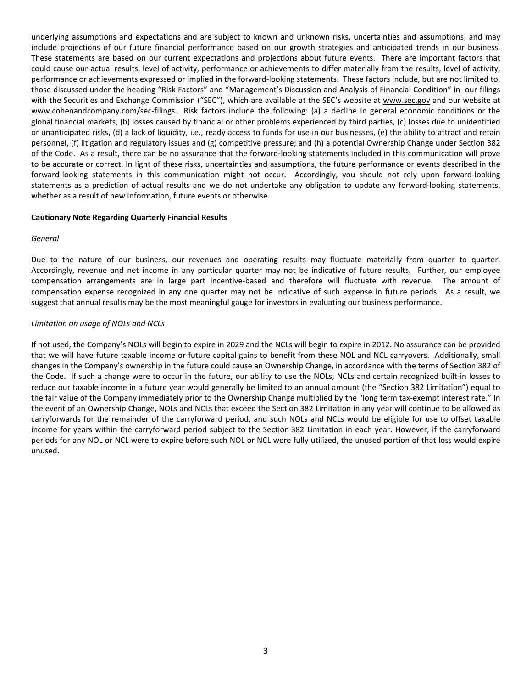underlying assumptions and expectations and are subject to known and unknown risks, uncertainties and assumptions, and may include projections of our future financial performance based on our growth strategies and anticipated trends in our business. These statements are based on our current expectations and projections about future events. There are important factors that could cause our actual results, level of activity, performance or achievements to differ materially from the results, level of activity, performance or achievements expressed or implied in the forward-looking statements. These factors include, but are not limited to, those discussed under the heading "Risk Factors" and "Management's Discussion and Analysis of Financial Condition" in our filings with the Securities and Exchange Commission ("SEC"), which are available at the SEC's website at www.sec.gov and our website at www.cohenandcompany.com/sec‐filings. Risk factors include the following: (a) a decline in general economic conditions or the global financial markets, (b) losses caused by financial or other problems experienced by third parties, (c) losses due to unidentified or unanticipated risks, (d) a lack of liquidity, i.e., ready access to funds for use in our businesses, (e) the ability to attract and retain personnel, (f) litigation and regulatory issues and (g) competitive pressure; and (h) a potential Ownership Change under Section 382 of the Code. As a result, there can be no assurance that the forward‐looking statements included in this communication will prove to be accurate or correct. In light of these risks, uncertainties and assumptions, the future performance or events described in the forward-looking statements in this communication might not occur. Accordingly, you should not rely upon forward-looking statements as a prediction of actual results and we do not undertake any obligation to update any forward‐looking statements, whether as a result of new information, future events or otherwise.

## **Cautionary Note Regarding Quarterly Financial Results**

#### *General*

Due to the nature of our business, our revenues and operating results may fluctuate materially from quarter to quarter. Accordingly, revenue and net income in any particular quarter may not be indicative of future results. Further, our employee compensation arrangements are in large part incentive-based and therefore will fluctuate with revenue. The amount of compensation expense recognized in any one quarter may not be indicative of such expense in future periods. As a result, we suggest that annual results may be the most meaningful gauge for investors in evaluating our business performance.

#### *Limitation on usage of NOLs and NCLs*

If not used, the Company's NOLs will begin to expire in 2029 and the NCLs will begin to expire in 2012. No assurance can be provided that we will have future taxable income or future capital gains to benefit from these NOL and NCL carryovers. Additionally, small changes in the Company's ownership in the future could cause an Ownership Change, in accordance with the terms of Section 382 of the Code. If such a change were to occur in the future, our ability to use the NOLs, NCLs and certain recognized built‐in losses to reduce our taxable income in a future year would generally be limited to an annual amount (the "Section 382 Limitation") equal to the fair value of the Company immediately prior to the Ownership Change multiplied by the "long term tax-exempt interest rate." In the event of an Ownership Change, NOLs and NCLs that exceed the Section 382 Limitation in any year will continue to be allowed as carryforwards for the remainder of the carryforward period, and such NOLs and NCLs would be eligible for use to offset taxable income for years within the carryforward period subject to the Section 382 Limitation in each year. However, if the carryforward periods for any NOL or NCL were to expire before such NOL or NCL were fully utilized, the unused portion of that loss would expire unused.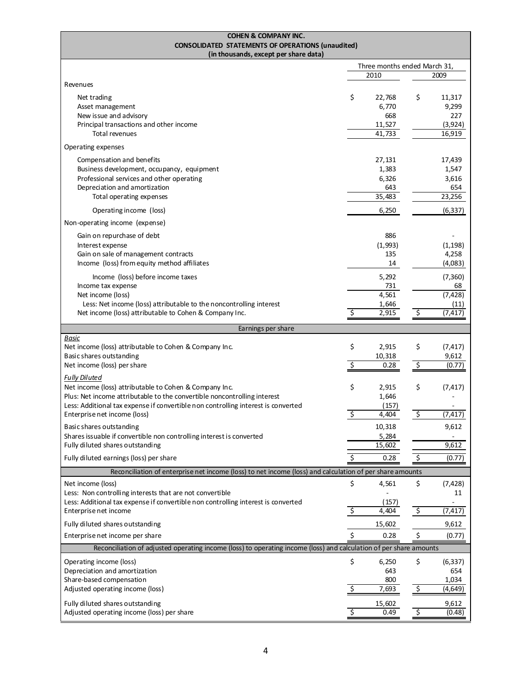#### **COHEN & COMPANY INC. CONSOLIDATED STATEMENTS OF OPERATIONS (unaudited) (in thousands, except per share data)**

|                                                                                                                    | Three months ended March 31, |          |                          |          |  |  |  |  |
|--------------------------------------------------------------------------------------------------------------------|------------------------------|----------|--------------------------|----------|--|--|--|--|
|                                                                                                                    | 2010                         |          | 2009                     |          |  |  |  |  |
| Revenues                                                                                                           |                              |          |                          |          |  |  |  |  |
| Net trading                                                                                                        | \$                           | 22,768   | \$                       | 11,317   |  |  |  |  |
| Asset management                                                                                                   |                              | 6,770    |                          | 9,299    |  |  |  |  |
| New issue and advisory                                                                                             |                              | 668      |                          | 227      |  |  |  |  |
| Principal transactions and other income                                                                            |                              | 11,527   |                          | (3,924)  |  |  |  |  |
| Total revenues                                                                                                     |                              | 41,733   |                          | 16,919   |  |  |  |  |
|                                                                                                                    |                              |          |                          |          |  |  |  |  |
| Operating expenses                                                                                                 |                              |          |                          |          |  |  |  |  |
| Compensation and benefits                                                                                          |                              | 27,131   |                          | 17,439   |  |  |  |  |
| Business development, occupancy, equipment                                                                         |                              | 1,383    |                          | 1,547    |  |  |  |  |
| Professional services and other operating                                                                          |                              | 6,326    |                          | 3,616    |  |  |  |  |
| Depreciation and amortization                                                                                      |                              | 643      |                          | 654      |  |  |  |  |
| Total operating expenses                                                                                           |                              | 35,483   |                          | 23,256   |  |  |  |  |
| Operating income (loss)                                                                                            |                              | 6,250    |                          | (6, 337) |  |  |  |  |
| Non-operating income (expense)                                                                                     |                              |          |                          |          |  |  |  |  |
| Gain on repurchase of debt                                                                                         |                              | 886      |                          |          |  |  |  |  |
| Interest expense                                                                                                   |                              | (1, 993) |                          | (1, 198) |  |  |  |  |
| Gain on sale of management contracts                                                                               |                              | 135      |                          | 4,258    |  |  |  |  |
| Income (loss) from equity method affiliates                                                                        |                              | 14       |                          | (4,083)  |  |  |  |  |
| Income (loss) before income taxes                                                                                  |                              | 5,292    |                          | (7,360)  |  |  |  |  |
| Income tax expense                                                                                                 |                              | 731      |                          | 68       |  |  |  |  |
| Net income (loss)                                                                                                  |                              | 4,561    |                          | (7, 428) |  |  |  |  |
| Less: Net income (loss) attributable to the noncontrolling interest                                                |                              | 1,646    |                          | (11)     |  |  |  |  |
| Net income (loss) attributable to Cohen & Company Inc.                                                             | \$                           | 2,915    | \$                       | (7, 417) |  |  |  |  |
| Earnings per share                                                                                                 |                              |          |                          |          |  |  |  |  |
| <b>Basic</b>                                                                                                       |                              |          |                          |          |  |  |  |  |
| Net income (loss) attributable to Cohen & Company Inc.                                                             | \$                           | 2,915    | \$                       | (7, 417) |  |  |  |  |
| Basic shares outstanding                                                                                           |                              | 10,318   |                          | 9,612    |  |  |  |  |
| Net income (loss) per share                                                                                        | $\frac{1}{2}$                | 0.28     | $\frac{1}{2}$            | (0.77)   |  |  |  |  |
| <b>Fully Diluted</b>                                                                                               |                              |          |                          |          |  |  |  |  |
| Net income (loss) attributable to Cohen & Company Inc.                                                             | \$                           | 2,915    | \$                       | (7, 417) |  |  |  |  |
| Plus: Net income attributable to the convertible noncontrolling interest                                           |                              | 1,646    |                          |          |  |  |  |  |
| Less: Additional tax expense if convertible non controlling interest is converted                                  |                              | (157)    |                          |          |  |  |  |  |
| Enterprise net income (loss)                                                                                       | $\overline{\varsigma}$       | 4,404    | $\overline{\mathcal{S}}$ | (7, 417) |  |  |  |  |
| Basic shares outstanding                                                                                           |                              | 10,318   |                          | 9,612    |  |  |  |  |
| Shares issuable if convertible non controlling interest is converted                                               |                              | 5,284    |                          |          |  |  |  |  |
| Fully diluted shares outstanding                                                                                   |                              | 15,602   |                          | 9,612    |  |  |  |  |
| Fully diluted earnings (loss) per share                                                                            | \$                           | 0.28     | $\overline{\mathcal{S}}$ | (0.77)   |  |  |  |  |
|                                                                                                                    |                              |          |                          |          |  |  |  |  |
| Reconciliation of enterprise net income (loss) to net income (loss) and calculation of per share amounts           |                              |          |                          |          |  |  |  |  |
| Net income (loss)                                                                                                  | \$                           | 4,561    | \$                       | (7, 428) |  |  |  |  |
| Less: Non controlling interests that are not convertible                                                           |                              |          |                          | 11       |  |  |  |  |
| Less: Additional tax expense if convertible non controlling interest is converted                                  |                              | (157)    |                          |          |  |  |  |  |
| Enterprise net income                                                                                              | $\mathbf{\hat{S}}$           | 4,404    | $\varsigma$              | (7, 417) |  |  |  |  |
| Fully diluted shares outstanding                                                                                   |                              | 15,602   |                          | 9,612    |  |  |  |  |
| Enterprise net income per share                                                                                    | \$                           | 0.28     | \$                       | (0.77)   |  |  |  |  |
| Reconciliation of adjusted operating income (loss) to operating income (loss) and calculation of per share amounts |                              |          |                          |          |  |  |  |  |
| Operating income (loss)                                                                                            | \$                           | 6,250    | \$                       | (6, 337) |  |  |  |  |
| Depreciation and amortization                                                                                      |                              | 643      |                          | 654      |  |  |  |  |
| Share-based compensation                                                                                           |                              | 800      |                          | 1,034    |  |  |  |  |
| Adjusted operating income (loss)                                                                                   |                              | 7,693    | $\frac{1}{2}$            | (4,649)  |  |  |  |  |
|                                                                                                                    |                              |          |                          |          |  |  |  |  |
| Fully diluted shares outstanding                                                                                   |                              | 15,602   |                          | 9,612    |  |  |  |  |
| Adjusted operating income (loss) per share                                                                         | S                            | 0.49     | \$                       | (0.48)   |  |  |  |  |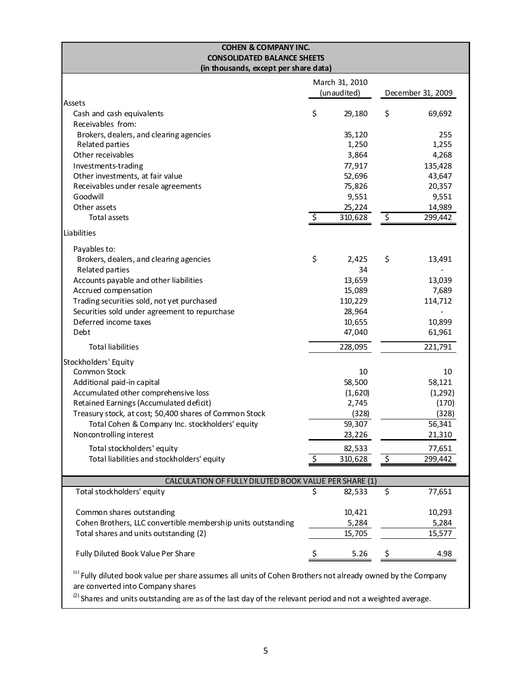# **COHEN & COMPANY INC. CONSOLIDATED BALANCE SHEETS (in thousands, except per share data)**

| iii uluusallus, cycept pei silaie uata                                                                                                                      |             |                |                   |          |
|-------------------------------------------------------------------------------------------------------------------------------------------------------------|-------------|----------------|-------------------|----------|
|                                                                                                                                                             |             | March 31, 2010 |                   |          |
|                                                                                                                                                             | (unaudited) |                | December 31, 2009 |          |
| Assets                                                                                                                                                      |             |                |                   |          |
| Cash and cash equivalents                                                                                                                                   | \$          | 29,180         | \$                | 69,692   |
| Receivables from:                                                                                                                                           |             |                |                   |          |
| Brokers, dealers, and clearing agencies                                                                                                                     |             | 35,120         |                   | 255      |
| Related parties                                                                                                                                             |             | 1,250          |                   | 1,255    |
| Other receivables                                                                                                                                           |             | 3,864          |                   | 4,268    |
| Investments-trading                                                                                                                                         |             | 77,917         |                   | 135,428  |
|                                                                                                                                                             |             |                |                   | 43,647   |
| Other investments, at fair value                                                                                                                            |             | 52,696         |                   |          |
| Receivables under resale agreements                                                                                                                         |             | 75,826         |                   | 20,357   |
| Goodwill                                                                                                                                                    |             | 9,551          |                   | 9,551    |
| Other assets                                                                                                                                                |             | 25,224         |                   | 14,989   |
| Total assets                                                                                                                                                | \$          | 310,628        | \$                | 299,442  |
| Liabilities                                                                                                                                                 |             |                |                   |          |
| Payables to:                                                                                                                                                |             |                |                   |          |
| Brokers, dealers, and clearing agencies                                                                                                                     | \$          | 2,425          | \$                | 13,491   |
| <b>Related parties</b>                                                                                                                                      |             | 34             |                   |          |
| Accounts payable and other liabilities                                                                                                                      |             | 13,659         |                   | 13,039   |
| Accrued compensation                                                                                                                                        |             | 15,089         |                   | 7,689    |
| Trading securities sold, not yet purchased                                                                                                                  |             | 110,229        |                   | 114,712  |
|                                                                                                                                                             |             | 28,964         |                   |          |
| Securities sold under agreement to repurchase                                                                                                               |             |                |                   |          |
| Deferred income taxes                                                                                                                                       |             | 10,655         |                   | 10,899   |
| Debt                                                                                                                                                        |             | 47,040         |                   | 61,961   |
| <b>Total liabilities</b>                                                                                                                                    |             | 228,095        |                   | 221,791  |
| Stockholders' Equity                                                                                                                                        |             |                |                   |          |
| Common Stock                                                                                                                                                |             | 10             |                   | 10       |
| Additional paid-in capital                                                                                                                                  |             | 58,500         |                   | 58,121   |
| Accumulated other comprehensive loss                                                                                                                        |             | (1,620)        |                   | (1, 292) |
| Retained Earnings (Accumulated deficit)                                                                                                                     |             | 2,745          |                   | (170)    |
| Treasury stock, at cost; 50,400 shares of Common Stock                                                                                                      |             | (328)          |                   | (328)    |
| Total Cohen & Company Inc. stockholders' equity                                                                                                             |             | 59,307         |                   | 56,341   |
| Noncontrolling interest                                                                                                                                     |             | 23,226         |                   | 21,310   |
|                                                                                                                                                             |             |                |                   |          |
| Total stockholders' equity                                                                                                                                  |             | 82,533         |                   | 77,651   |
| Total liabilities and stockholders' equity                                                                                                                  | ς           | 310,628        | ¢                 | 299,442  |
| CALCULATION OF FULLY DILUTED BOOK VALUE PER SHARE (1)                                                                                                       |             |                |                   |          |
| Total stockholders' equity                                                                                                                                  | \$          | 82,533         | \$                | 77,651   |
|                                                                                                                                                             |             |                |                   |          |
| Common shares outstanding                                                                                                                                   |             | 10,421         |                   | 10,293   |
| Cohen Brothers, LLC convertible membership units outstanding                                                                                                |             | 5,284          |                   | 5,284    |
| Total shares and units outstanding (2)                                                                                                                      |             | 15,705         |                   | 15,577   |
|                                                                                                                                                             |             |                |                   |          |
| Fully Diluted Book Value Per Share                                                                                                                          |             | 5.26           |                   | 4.98     |
| <sup>(1)</sup> Fully diluted book value per share assumes all units of Cohen Brothers not already owned by the Company<br>are converted into Company shares |             |                |                   |          |

 $^{(2)}$  Shares and units outstanding are as of the last day of the relevant period and not a weighted average.